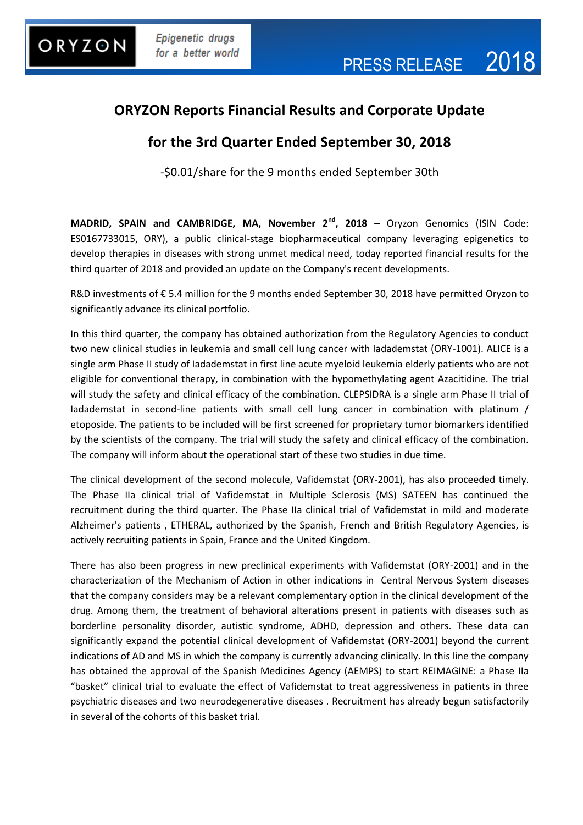### **ORYZON Reports Financial Results and Corporate Update**

### **for the 3rd Quarter Ended September 30, 2018**

-\$0.01/share for the 9 months ended September 30th

**MADRID, SPAIN and CAMBRIDGE, MA, November 2nd , 2018 –** Oryzon Genomics (ISIN Code: ES0167733015, ORY), a public clinical-stage biopharmaceutical company leveraging epigenetics to develop therapies in diseases with strong unmet medical need, today reported financial results for the third quarter of 2018 and provided an update on the Company's recent developments.

R&D investments of €5.4 million for the 9 months ended September 30, 2018 have permitted Oryzon to significantly advance its clinical portfolio.

In this third quarter, the company has obtained authorization from the Regulatory Agencies to conduct two new clinical studies in leukemia and small cell lung cancer with Iadademstat (ORY-1001). ALICE is a single arm Phase II study of Iadademstat in first line acute myeloid leukemia elderly patients who are not eligible for conventional therapy, in combination with the hypomethylating agent Azacitidine. The trial will study the safety and clinical efficacy of the combination. CLEPSIDRA is a single arm Phase II trial of Iadademstat in second-line patients with small cell lung cancer in combination with platinum / etoposide. The patients to be included will be first screened for proprietary tumor biomarkers identified by the scientists of the company. The trial will study the safety and clinical efficacy of the combination. The company will inform about the operational start of these two studies in due time.

The clinical development of the second molecule, Vafidemstat (ORY-2001), has also proceeded timely. The Phase IIa clinical trial of Vafidemstat in Multiple Sclerosis (MS) SATEEN has continued the recruitment during the third quarter. The Phase IIa clinical trial of Vafidemstat in mild and moderate Alzheimer's patients , ETHERAL, authorized by the Spanish, French and British Regulatory Agencies, is actively recruiting patients in Spain, France and the United Kingdom.

There has also been progress in new preclinical experiments with Vafidemstat (ORY-2001) and in the characterization of the Mechanism of Action in other indications in Central Nervous System diseases that the company considers may be a relevant complementary option in the clinical development of the drug. Among them, the treatment of behavioral alterations present in patients with diseases such as borderline personality disorder, autistic syndrome, ADHD, depression and others. These data can significantly expand the potential clinical development of Vafidemstat (ORY-2001) beyond the current indications of AD and MS in which the company is currently advancing clinically. In this line the company has obtained the approval of the Spanish Medicines Agency (AEMPS) to start REIMAGINE: a Phase IIa "basket" clinical trial to evaluate the effect of Vafidemstat to treat aggressiveness in patients in three psychiatric diseases and two neurodegenerative diseases . Recruitment has already begun satisfactorily in several of the cohorts of this basket trial.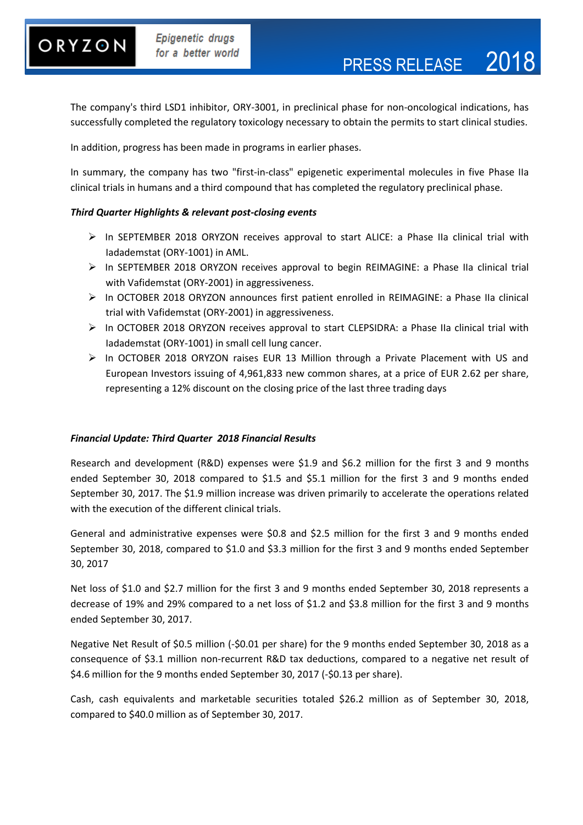# ORYZON

The company's third LSD1 inhibitor, ORY-3001, in preclinical phase for non-oncological indications, has successfully completed the regulatory toxicology necessary to obtain the permits to start clinical studies.

In addition, progress has been made in programs in earlier phases.

In summary, the company has two "first-in-class" epigenetic experimental molecules in five Phase IIa clinical trials in humans and a third compound that has completed the regulatory preclinical phase.

#### *Third Quarter Highlights & relevant post-closing events*

- In SEPTEMBER 2018 ORYZON receives approval to start ALICE: a Phase IIa clinical trial with Iadademstat (ORY-1001) in AML.
- In SEPTEMBER 2018 ORYZON receives approval to begin REIMAGINE: a Phase IIa clinical trial with Vafidemstat (ORY-2001) in aggressiveness.
- In OCTOBER 2018 ORYZON announces first patient enrolled in REIMAGINE: a Phase IIa clinical trial with Vafidemstat (ORY-2001) in aggressiveness.
- In OCTOBER 2018 ORYZON receives approval to start CLEPSIDRA: a Phase IIa clinical trial with Iadademstat (ORY-1001) in small cell lung cancer.
- In OCTOBER 2018 ORYZON raises EUR 13 Million through a Private Placement with US and European Investors issuing of 4,961,833 new common shares, at a price of EUR 2.62 per share, representing a 12% discount on the closing price of the last three trading days

#### *Financial Update: Third Quarter 2018 Financial Results*

Research and development (R&D) expenses were \$1.9 and \$6.2 million for the first 3 and 9 months ended September 30, 2018 compared to \$1.5 and \$5.1 million for the first 3 and 9 months ended September 30, 2017. The \$1.9 million increase was driven primarily to accelerate the operations related with the execution of the different clinical trials.

General and administrative expenses were \$0.8 and \$2.5 million for the first 3 and 9 months ended September 30, 2018, compared to \$1.0 and \$3.3 million for the first 3 and 9 months ended September 30, 2017

Net loss of \$1.0 and \$2.7 million for the first 3 and 9 months ended September 30, 2018 represents a decrease of 19% and 29% compared to a net loss of \$1.2 and \$3.8 million for the first 3 and 9 months ended September 30, 2017.

Negative Net Result of \$0.5 million (-\$0.01 per share) for the 9 months ended September 30, 2018 as a consequence of \$3.1 million non-recurrent R&D tax deductions, compared to a negative net result of \$4.6 million for the 9 months ended September 30, 2017 (-\$0.13 per share).

Cash, cash equivalents and marketable securities totaled \$26.2 million as of September 30, 2018, compared to \$40.0 million as of September 30, 2017.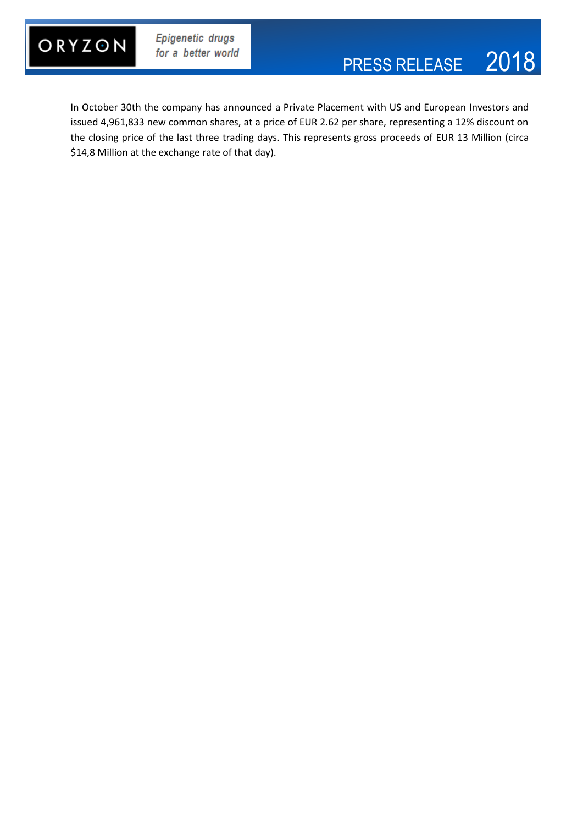

In October 30th the company has announced a Private Placement with US and European Investors and issued 4,961,833 new common shares, at a price of EUR 2.62 per share, representing a 12% discount on the closing price of the last three trading days. This represents gross proceeds of EUR 13 Million (circa \$14,8 Million at the exchange rate of that day).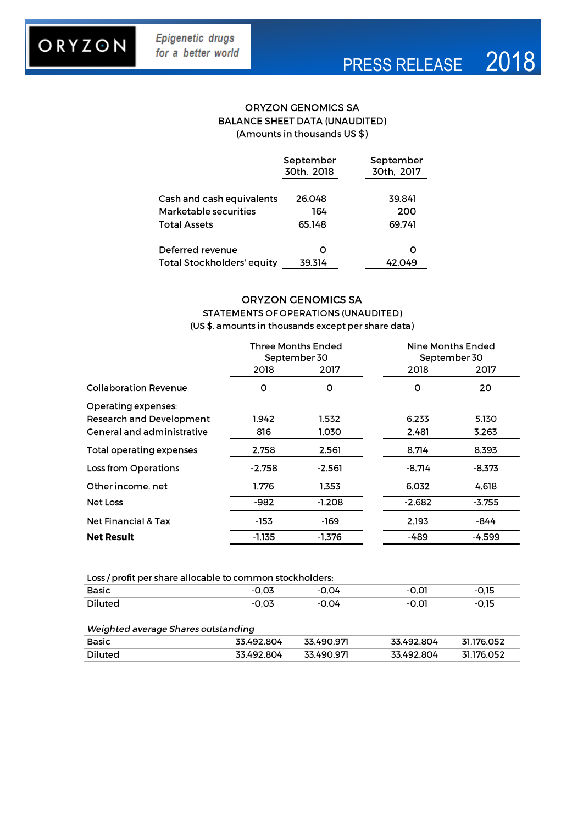# ORYZON

**Diluted** 

31.176.052

33.492.804

### **ORYZON GENOMICS SA BALANCE SHEET DATA (UNAUDITED)** (Amounts in thousands US \$)

|                                   | September<br>30th, 2018 | September<br>30th, 2017 |
|-----------------------------------|-------------------------|-------------------------|
| Cash and cash equivalents         | 26.048                  | 39.841                  |
| Marketable securities             | 164                     | 200                     |
| <b>Total Assets</b>               | 65.148                  | 69.741                  |
| Deferred revenue                  |                         |                         |
| <b>Total Stockholders' equity</b> | 39.314                  | 42.049                  |

### **ORYZON GENOMICS SA** STATEMENTS OF OPERATIONS (UNAUDITED) (US \$, amounts in thousands except per share data)

|                                   | <b>Three Months Ended</b><br>September 30 |          |          | Nine Months Ended<br>September 30 |  |
|-----------------------------------|-------------------------------------------|----------|----------|-----------------------------------|--|
|                                   | 2018                                      | 2017     | 2018     | 2017                              |  |
| <b>Collaboration Revenue</b>      | o                                         | O        | O        | 20                                |  |
| Operating expenses:               |                                           |          |          |                                   |  |
| <b>Research and Development</b>   | 1.942                                     | 1.532    | 6.233    | 5.130                             |  |
| <b>General and administrative</b> | 816                                       | 1.030    | 2.481    | 3.263                             |  |
| Total operating expenses          | 2.758                                     | 2.561    | 8.714    | 8.393                             |  |
| Loss from Operations              | $-2.758$                                  | $-2.561$ | $-8.714$ | $-8.373$                          |  |
| Other income, net                 | 1.776                                     | 1.353    | 6.032    | 4.618                             |  |
| Net Loss                          | $-982$                                    | $-1.208$ | $-2.682$ | $-3.755$                          |  |
| <b>Net Financial &amp; Tax</b>    | -153                                      | -169     | 2.193    | -844                              |  |
| <b>Net Result</b>                 | -1.135                                    | -1.376   | -489     | -4.599                            |  |

| Loss / profit per share allocable to common stockholders: |         |       |       |       |  |  |  |
|-----------------------------------------------------------|---------|-------|-------|-------|--|--|--|
| Basic                                                     | -0.03   | -0.04 | -0.01 | -0.15 |  |  |  |
| Diluted                                                   | $-0.03$ | -0.04 | -0.01 | -0.15 |  |  |  |
|                                                           |         |       |       |       |  |  |  |

#### Weighted average Shares outstanding Basic 33.490.97 33.492.804 31.176.052 33.492.804

33.490.971

33.492.804